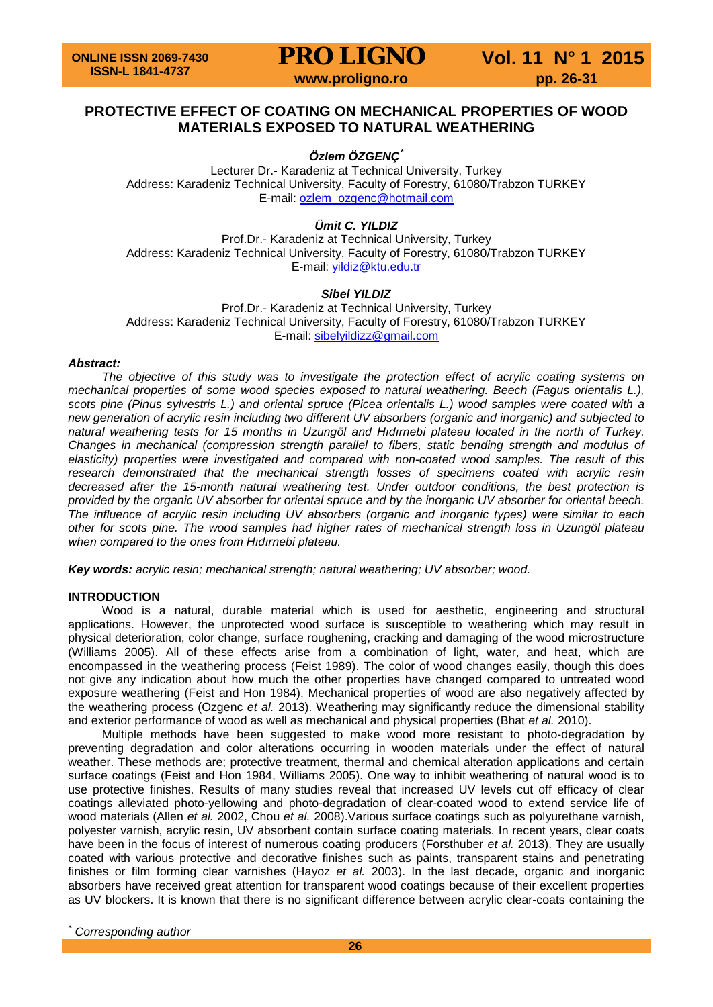# **PROTECTIVE EFFECT OF COATING ON MECHANICAL PROPERTIES OF WOOD MATERIALS EXPOSED TO NATURAL WEATHERING**

*Özlem ÖZGENÇ[\\*](#page-0-0)*

Lecturer Dr.- Karadeniz at Technical University, Turkey Address: Karadeniz Technical University, Faculty of Forestry, 61080/Trabzon TURKEY E-mail: [ozlem\\_ozgenc@hotmail.com](mailto:ozlem_ozgenc@hotmail.com)

*Ümit C. YILDIZ*

Prof.Dr.- Karadeniz at Technical University, Turkey Address: Karadeniz Technical University, Faculty of Forestry, 61080/Trabzon TURKEY E-mail: [yildiz@ktu.edu.tr](mailto:yildiz@ktu.edu.tr)

# *Sibel YILDIZ*

Prof.Dr.- Karadeniz at Technical University, Turkey Address: Karadeniz Technical University, Faculty of Forestry, 61080/Trabzon TURKEY E-mail: [sibelyildizz@gmail.com](mailto:sibelyildizz@gmail.com)

# *Abstract:*

*The objective of this study was to investigate the protection effect of acrylic coating systems on mechanical properties of some wood species exposed to natural weathering. Beech (Fagus orientalis L.), scots pine (Pinus sylvestris L.) and oriental spruce (Picea orientalis L.) wood samples were coated with a new generation of acrylic resin including two different UV absorbers (organic and inorganic) and subjected to natural weathering tests for 15 months in Uzungöl and Hıdırnebi plateau located in the north of Turkey. Changes in mechanical (compression strength parallel to fibers, static bending strength and modulus of elasticity) properties were investigated and compared with non-coated wood samples. The result of this research demonstrated that the mechanical strength losses of specimens coated with acrylic resin decreased after the 15-month natural weathering test. Under outdoor conditions, the best protection is provided by the organic UV absorber for oriental spruce and by the inorganic UV absorber for oriental beech. The influence of acrylic resin including UV absorbers (organic and inorganic types) were similar to each other for scots pine. The wood samples had higher rates of mechanical strength loss in Uzungöl plateau when compared to the ones from Hıdırnebi plateau.*

*Key words: acrylic resin; mechanical strength; natural weathering; UV absorber; wood.*

# **INTRODUCTION**

Wood is a natural, durable material which is used for aesthetic, engineering and structural applications. However, the unprotected wood surface is susceptible to weathering which may result in physical deterioration, color change, surface roughening, cracking and damaging of the wood microstructure (Williams 2005). All of these effects arise from a combination of light, water, and heat, which are encompassed in the weathering process (Feist 1989). The color of wood changes easily, though this does not give any indication about how much the other properties have changed compared to untreated wood exposure weathering (Feist and Hon 1984). Mechanical properties of wood are also negatively affected by the weathering process (Ozgenc *et al.* 2013). Weathering may significantly reduce the dimensional stability and exterior performance of wood as well as mechanical and physical properties (Bhat *et al.* 2010).

Multiple methods have been suggested to make wood more resistant to photo-degradation by preventing degradation and color alterations occurring in wooden materials under the effect of natural weather. These methods are; protective treatment, thermal and chemical alteration applications and certain surface coatings (Feist and Hon 1984, Williams 2005). One way to inhibit weathering of natural wood is to use protective finishes. Results of many studies reveal that increased UV levels cut off efficacy of clear coatings alleviated photo-yellowing and photo-degradation of clear-coated wood to extend service life of wood materials (Allen *et al.* 2002, Chou *et al.* 2008).Various surface coatings such as polyurethane varnish, polyester varnish, acrylic resin, UV absorbent contain surface coating materials. In recent years, clear coats have been in the focus of interest of numerous coating producers (Forsthuber *et al.* 2013). They are usually coated with various protective and decorative finishes such as paints, transparent stains and penetrating finishes or film forming clear varnishes (Hayoz *et al.* 2003). In the last decade, organic and inorganic absorbers have received great attention for transparent wood coatings because of their excellent properties as UV blockers. It is known that there is no significant difference between acrylic clear-coats containing the

<span id="page-0-0"></span> $Corresponding author$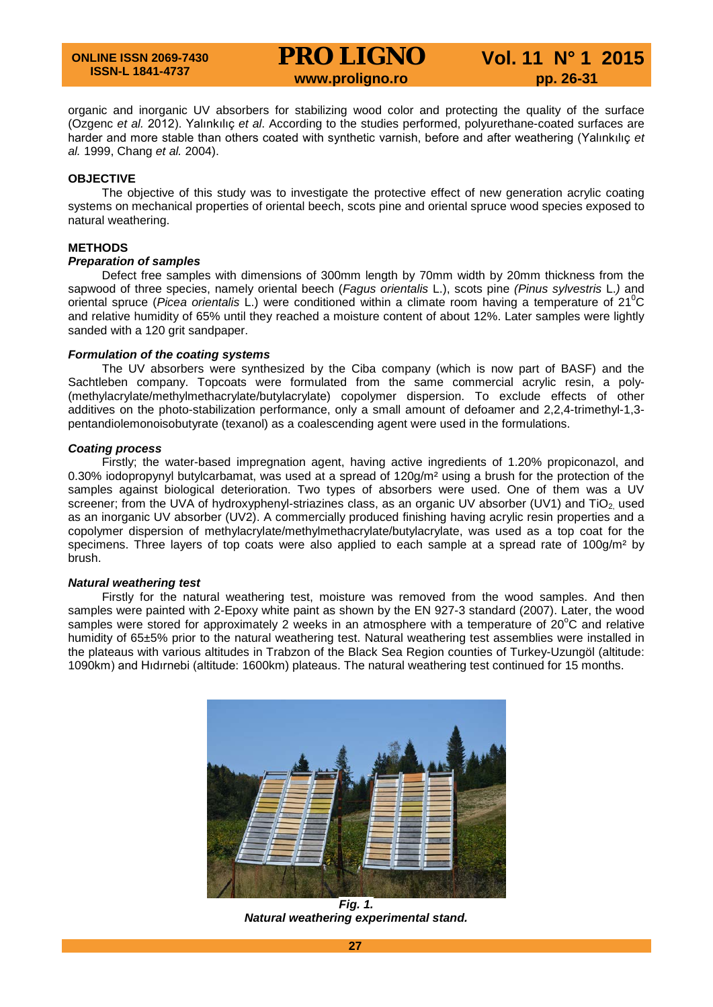organic and inorganic UV absorbers for stabilizing wood color and protecting the quality of the surface (Ozgenc *et al.* 2012). Yalınkılıç *et al*. According to the studies performed, polyurethane-coated surfaces are harder and more stable than others coated with synthetic varnish, before and after weathering (Yalınkılıç *et al.* 1999, Chang *et al.* 2004).

# **OBJECTIVE**

The objective of this study was to investigate the protective effect of new generation acrylic coating systems on mechanical properties of oriental beech, scots pine and oriental spruce wood species exposed to natural weathering.

#### **METHODS**

# *Preparation of samples*

Defect free samples with dimensions of 300mm length by 70mm width by 20mm thickness from the sapwood of three species, namely oriental beech (*Fagus orientalis* L.), scots pine *(Pinus sylvestris* L.*)* and oriental spruce (*Picea orientalis* L.) were conditioned within a climate room having a temperature of 21<sup>o</sup>C and relative humidity of 65% until they reached a moisture content of about 12%. Later samples were lightly sanded with a 120 grit sandpaper.

#### *Formulation of the coating systems*

The UV absorbers were synthesized by the Ciba company (which is now part of BASF) and the Sachtleben company. Topcoats were formulated from the same commercial acrylic resin, a poly- (methylacrylate/methylmethacrylate/butylacrylate) copolymer dispersion. To exclude effects of other additives on the photo-stabilization performance, only a small amount of defoamer and 2,2,4-trimethyl-1,3 pentandiolemonoisobutyrate (texanol) as a coalescending agent were used in the formulations.

#### *Coating process*

Firstly; the water-based impregnation agent, having active ingredients of 1.20% propiconazol, and 0.30% iodopropynyl butylcarbamat, was used at a spread of  $120g/m<sup>2</sup>$  using a brush for the protection of the samples against biological deterioration. Two types of absorbers were used. One of them was a UV screener; from the UVA of hydroxyphenyl-striazines class, as an organic UV absorber (UV1) and TiO<sub>2</sub> used as an inorganic UV absorber (UV2). A commercially produced finishing having acrylic resin properties and a copolymer dispersion of methylacrylate/methylmethacrylate/butylacrylate, was used as a top coat for the specimens. Three layers of top coats were also applied to each sample at a spread rate of 100g/m<sup>2</sup> by brush.

# *Natural weathering test*

Firstly for the natural weathering test, moisture was removed from the wood samples. And then samples were painted with 2-Epoxy white paint as shown by the EN 927-3 standard (2007). Later, the wood samples were stored for approximately 2 weeks in an atmosphere with a temperature of  $20^{\circ}$ C and relative humidity of 65±5% prior to the natural weathering test. Natural weathering test assemblies were installed in the plateaus with various altitudes in Trabzon of the Black Sea Region counties of Turkey-Uzungöl (altitude: 1090km) and Hıdırnebi (altitude: 1600km) plateaus. The natural weathering test continued for 15 months.



*Fig. 1. Natural weathering experimental stand.*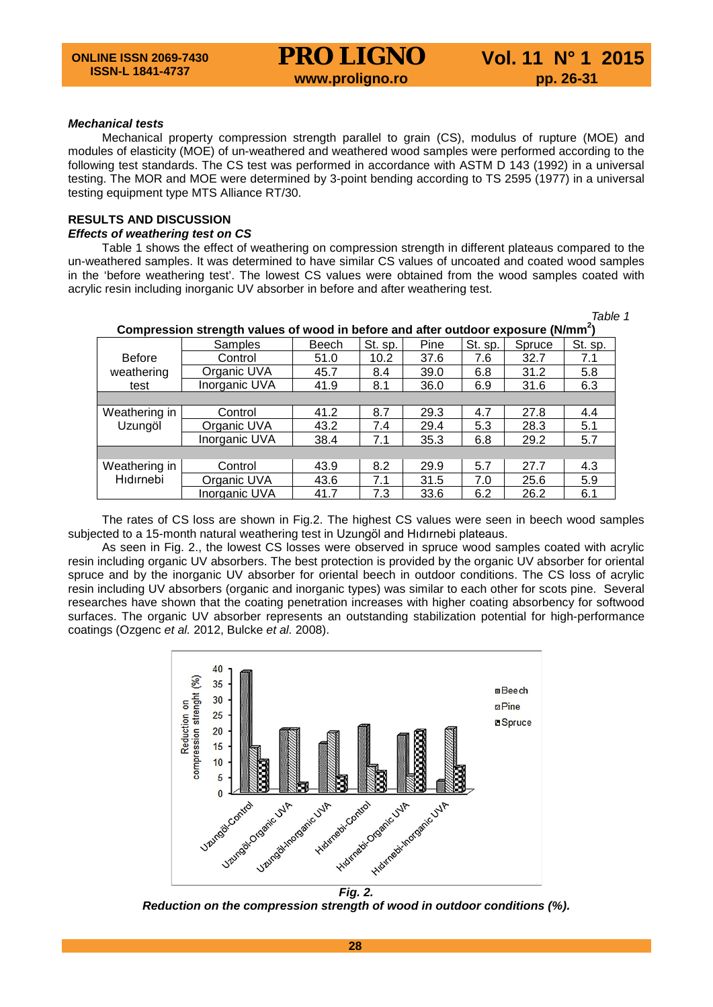## *Mechanical tests*

Mechanical property compression strength parallel to grain (CS), modulus of rupture (MOE) and modules of elasticity (MOE) of un-weathered and weathered wood samples were performed according to the following test standards. The CS test was performed in accordance with ASTM D 143 (1992) in a universal testing. The MOR and MOE were determined by 3-point bending according to TS 2595 (1977) in a universal testing equipment type MTS Alliance RT/30.

# **RESULTS AND DISCUSSION**

#### *Effects of weathering test on CS*

Table 1 shows the effect of weathering on compression strength in different plateaus compared to the un-weathered samples. It was determined to have similar CS values of uncoated and coated wood samples in the 'before weathering test'. The lowest CS values were obtained from the wood samples coated with acrylic resin including inorganic UV absorber in before and after weathering test.

| Compression strength values of wood in before and after outdoor exposure (N/mm <sup>2</sup> ) |               |       |         |      |         |        |         |  |  |  |  |
|-----------------------------------------------------------------------------------------------|---------------|-------|---------|------|---------|--------|---------|--|--|--|--|
|                                                                                               | Samples       | Beech | St. sp. | Pine | St. sp. | Spruce | St. sp. |  |  |  |  |
| <b>Before</b><br>weathering<br>test                                                           | Control       | 51.0  | 10.2    | 37.6 | 7.6     | 32.7   | 7.1     |  |  |  |  |
|                                                                                               | Organic UVA   | 45.7  | 8.4     | 39.0 | 6.8     | 31.2   | 5.8     |  |  |  |  |
|                                                                                               | Inorganic UVA | 41.9  | 8.1     | 36.0 | 6.9     | 31.6   | 6.3     |  |  |  |  |
|                                                                                               |               |       |         |      |         |        |         |  |  |  |  |
| Weathering in<br>Uzungöl                                                                      | Control       | 41.2  | 8.7     | 29.3 | 4.7     | 27.8   | 4.4     |  |  |  |  |
|                                                                                               | Organic UVA   | 43.2  | 7.4     | 29.4 | 5.3     | 28.3   | 5.1     |  |  |  |  |
|                                                                                               | Inorganic UVA | 38.4  | 7.1     | 35.3 | 6.8     | 29.2   | 5.7     |  |  |  |  |
|                                                                                               |               |       |         |      |         |        |         |  |  |  |  |
| Weathering in<br>Hidirnebi                                                                    | Control       | 43.9  | 8.2     | 29.9 | 5.7     | 27.7   | 4.3     |  |  |  |  |
|                                                                                               | Organic UVA   | 43.6  | 7.1     | 31.5 | 7.0     | 25.6   | 5.9     |  |  |  |  |
|                                                                                               | Inorganic UVA | 41.7  | 7.3     | 33.6 | 6.2     | 26.2   | 6.1     |  |  |  |  |

*Table 1*

The rates of CS loss are shown in Fig.2. The highest CS values were seen in beech wood samples subjected to a 15-month natural weathering test in Uzungöl and Hıdırnebi plateaus.

As seen in Fig. 2., the lowest CS losses were observed in spruce wood samples coated with acrylic resin including organic UV absorbers. The best protection is provided by the organic UV absorber for oriental spruce and by the inorganic UV absorber for oriental beech in outdoor conditions. The CS loss of acrylic resin including UV absorbers (organic and inorganic types) was similar to each other for scots pine. Several researches have shown that the coating penetration increases with higher coating absorbency for softwood surfaces. The organic UV absorber represents an outstanding stabilization potential for high-performance coatings (Ozgenc *et al.* 2012, Bulcke *et al.* 2008).



*Reduction on the compression strength of wood in outdoor conditions (%).*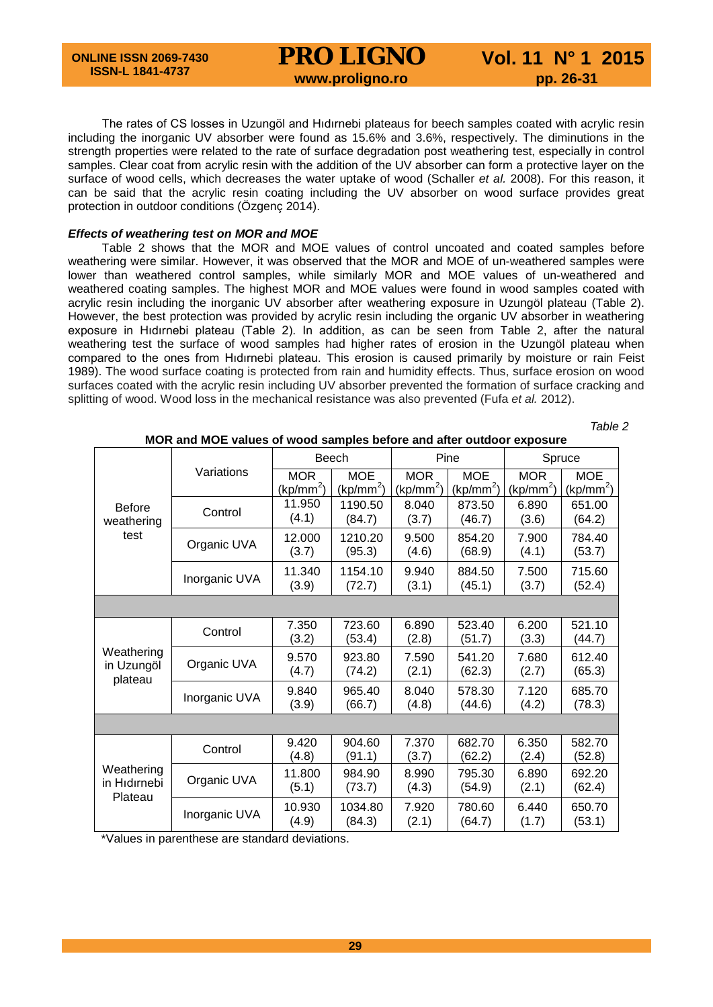# **PRO LIGNO** Vol. 11 N° 1 2015<br>www.proligno.ro pp. 26-31

The rates of CS losses in Uzungöl and Hıdırnebi plateaus for beech samples coated with acrylic resin including the inorganic UV absorber were found as 15.6% and 3.6%, respectively. The diminutions in the strength properties were related to the rate of surface degradation post weathering test, especially in control samples. Clear coat from acrylic resin with the addition of the UV absorber can form a protective layer on the surface of wood cells, which decreases the water uptake of wood (Schaller *et al.* 2008). For this reason, it can be said that the acrylic resin coating including the UV absorber on wood surface provides great protection in outdoor conditions (Özgenç 2014).

# *Effects of weathering test on MOR and MOE*

Table 2 shows that the MOR and MOE values of control uncoated and coated samples before weathering were similar. However, it was observed that the MOR and MOE of un-weathered samples were lower than weathered control samples, while similarly MOR and MOE values of un-weathered and weathered coating samples. The highest MOR and MOE values were found in wood samples coated with acrylic resin including the inorganic UV absorber after weathering exposure in Uzungöl plateau (Table 2). However, the best protection was provided by acrylic resin including the organic UV absorber in weathering exposure in Hıdırnebi plateau (Table 2). In addition, as can be seen from Table 2, after the natural weathering test the surface of wood samples had higher rates of erosion in the Uzungöl plateau when compared to the ones from Hıdırnebi plateau. This erosion is caused primarily by moisture or rain Feist 1989). The wood surface coating is protected from rain and humidity effects. Thus, surface erosion on wood surfaces coated with the acrylic resin including UV absorber prevented the formation of surface cracking and splitting of wood. Wood loss in the mechanical resistance was also prevented (Fufa *et al.* 2012).

| <b>Before</b><br>weathering<br>test   | Variations    | Beech                               |                                     | Pine                                |                                     | Spruce                              |                                     |  |  |  |  |
|---------------------------------------|---------------|-------------------------------------|-------------------------------------|-------------------------------------|-------------------------------------|-------------------------------------|-------------------------------------|--|--|--|--|
|                                       |               | <b>MOR</b><br>(kp/mm <sup>2</sup> ) | <b>MOE</b><br>(kp/mm <sup>2</sup> ) | <b>MOR</b><br>(kp/mm <sup>2</sup> ) | <b>MOE</b><br>(kp/mm <sup>2</sup> ) | <b>MOR</b><br>(kp/mm <sup>2</sup> ) | <b>MOE</b><br>(kp/mm <sup>2</sup> ) |  |  |  |  |
|                                       | Control       | 11.950<br>(4.1)                     | 1190.50<br>(84.7)                   | 8.040<br>(3.7)                      | 873.50<br>(46.7)                    | 6.890<br>(3.6)                      | 651.00<br>(64.2)                    |  |  |  |  |
|                                       | Organic UVA   | 12.000<br>(3.7)                     | 1210.20<br>(95.3)                   | 9.500<br>(4.6)                      | 854.20<br>(68.9)                    | 7.900<br>(4.1)                      | 784.40<br>(53.7)                    |  |  |  |  |
|                                       | Inorganic UVA | 11.340<br>(3.9)                     | 1154.10<br>(72.7)                   | 9.940<br>(3.1)                      | 884.50<br>(45.1)                    | 7.500<br>(3.7)                      | 715.60<br>(52.4)                    |  |  |  |  |
|                                       |               |                                     |                                     |                                     |                                     |                                     |                                     |  |  |  |  |
| Weathering<br>in Uzungöl<br>plateau   | Control       | 7.350<br>(3.2)                      | 723.60<br>(53.4)                    | 6.890<br>(2.8)                      | 523.40<br>(51.7)                    | 6.200<br>(3.3)                      | 521.10<br>(44.7)                    |  |  |  |  |
|                                       | Organic UVA   | 9.570<br>(4.7)                      | 923.80<br>(74.2)                    | 7.590<br>(2.1)                      | 541.20<br>(62.3)                    | 7.680<br>(2.7)                      | 612.40<br>(65.3)                    |  |  |  |  |
|                                       | Inorganic UVA | 9.840<br>(3.9)                      | 965.40<br>(66.7)                    | 8.040<br>(4.8)                      | 578.30<br>(44.6)                    | 7.120<br>(4.2)                      | 685.70<br>(78.3)                    |  |  |  |  |
|                                       |               |                                     |                                     |                                     |                                     |                                     |                                     |  |  |  |  |
| Weathering<br>in Hidirnebi<br>Plateau | Control       | 9.420<br>(4.8)                      | 904.60<br>(91.1)                    | 7.370<br>(3.7)                      | 682.70<br>(62.2)                    | 6.350<br>(2.4)                      | 582.70<br>(52.8)                    |  |  |  |  |
|                                       | Organic UVA   | 11.800<br>(5.1)                     | 984.90<br>(73.7)                    | 8.990<br>(4.3)                      | 795.30<br>(54.9)                    | 6.890<br>(2.1)                      | 692.20<br>(62.4)                    |  |  |  |  |
|                                       | Inorganic UVA | 10.930<br>(4.9)                     | 1034.80<br>(84.3)                   | 7.920<br>(2.1)                      | 780.60<br>(64.7)                    | 6.440<br>(1.7)                      | 650.70<br>(53.1)                    |  |  |  |  |

 *Table 2* **MOR and MOE values of wood samples before and after outdoor exposure**

\*Values in parenthese are standard deviations.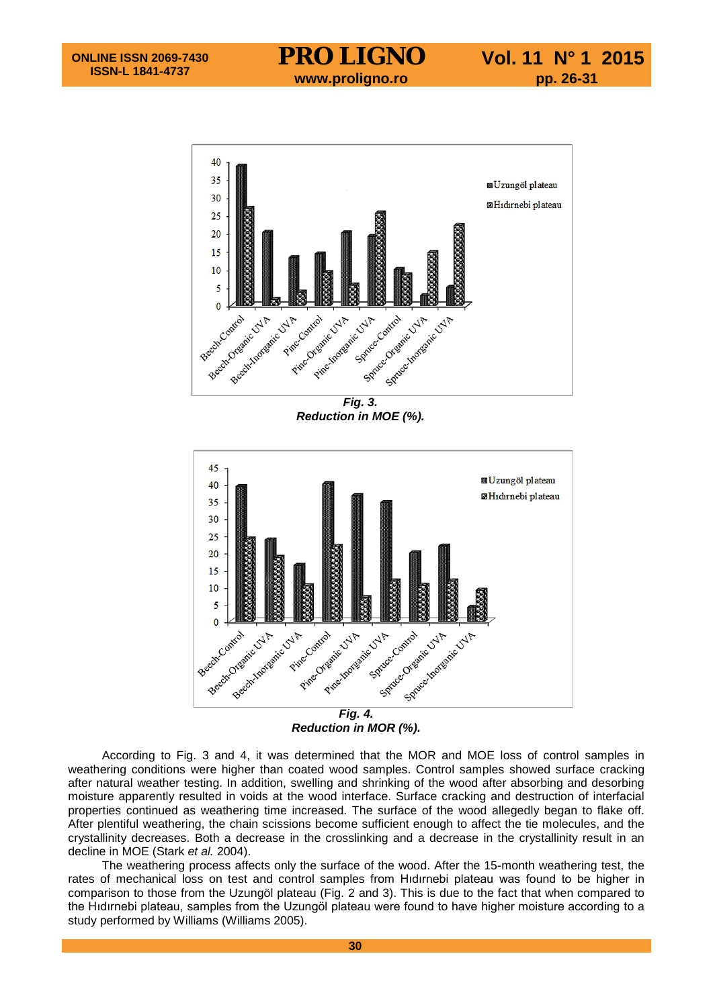

*Fig. 3. Reduction in MOE (%).*



*Reduction in MOR (%).*

According to Fig. 3 and 4, it was determined that the MOR and MOE loss of control samples in weathering conditions were higher than coated wood samples. Control samples showed surface cracking after natural weather testing. In addition, swelling and shrinking of the wood after absorbing and desorbing moisture apparently resulted in voids at the wood interface. Surface cracking and destruction of interfacial properties continued as weathering time increased. The surface of the wood allegedly began to flake off. After plentiful weathering, the chain scissions become sufficient enough to affect the tie molecules, and the crystallinity decreases. Both a decrease in the crosslinking and a decrease in the crystallinity result in an decline in MOE (Stark *et al.* 2004).

The weathering process affects only the surface of the wood. After the 15-month weathering test, the rates of mechanical loss on test and control samples from Hıdırnebi plateau was found to be higher in comparison to those from the Uzungöl plateau (Fig. 2 and 3). This is due to the fact that when compared to the Hıdırnebi plateau, samples from the Uzungöl plateau were found to have higher moisture according to a study performed by Williams (Williams 2005).